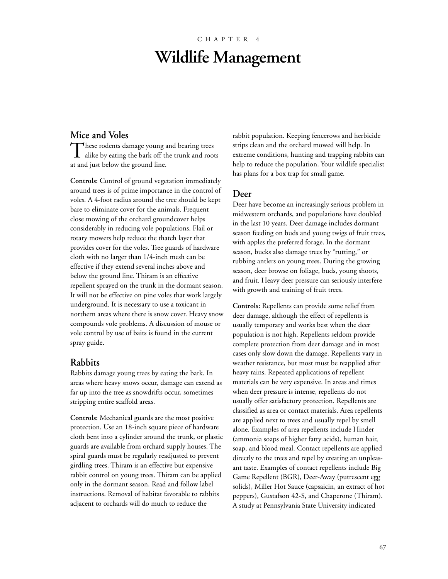# CHAPTER 4 **Wildlife Management**

#### **Mice and Voles**

These rodents damage young and bearing trees **1** alike by eating the bark off the trunk and roots at and just below the ground line.

**Controls:** Control of ground vegetation immediately around trees is of prime importance in the control of voles. A 4-foot radius around the tree should be kept bare to eliminate cover for the animals. Frequent close mowing of the orchard groundcover helps considerably in reducing vole populations. Flail or rotary mowers help reduce the thatch layer that provides cover for the voles. Tree guards of hardware cloth with no larger than 1/4-inch mesh can be effective if they extend several inches above and below the ground line. Thiram is an effective repellent sprayed on the trunk in the dormant season. It will not be effective on pine voles that work largely underground. It is necessary to use a toxicant in northern areas where there is snow cover. Heavy snow compounds vole problems. A discussion of mouse or vole control by use of baits is found in the current spray guide.

#### **Rabbits**

Rabbits damage young trees by eating the bark. In areas where heavy snows occur, damage can extend as far up into the tree as snowdrifts occur, sometimes stripping entire scaffold areas.

**Controls:** Mechanical guards are the most positive protection. Use an 18-inch square piece of hardware cloth bent into a cylinder around the trunk, or plastic guards are available from orchard supply houses. The spiral guards must be regularly readjusted to prevent girdling trees. Thiram is an effective but expensive rabbit control on young trees. Thiram can be applied only in the dormant season. Read and follow label instructions. Removal of habitat favorable to rabbits adjacent to orchards will do much to reduce the

rabbit population. Keeping fencerows and herbicide strips clean and the orchard mowed will help. In extreme conditions, hunting and trapping rabbits can help to reduce the population. Your wildlife specialist has plans for a box trap for small game.

#### **Deer**

Deer have become an increasingly serious problem in midwestern orchards, and populations have doubled in the last 10 years. Deer damage includes dormant season feeding on buds and young twigs of fruit trees, with apples the preferred forage. In the dormant season, bucks also damage trees by "rutting," or rubbing antlers on young trees. During the growing season, deer browse on foliage, buds, young shoots, and fruit. Heavy deer pressure can seriously interfere with growth and training of fruit trees.

**Controls:** Repellents can provide some relief from deer damage, although the effect of repellents is usually temporary and works best when the deer population is not high. Repellents seldom provide complete protection from deer damage and in most cases only slow down the damage. Repellents vary in weather resistance, but most must be reapplied after heavy rains. Repeated applications of repellent materials can be very expensive. In areas and times when deer pressure is intense, repellents do not usually offer satisfactory protection. Repellents are classified as area or contact materials. Area repellents are applied next to trees and usually repel by smell alone. Examples of area repellents include Hinder (ammonia soaps of higher fatty acids), human hair, soap, and blood meal. Contact repellents are applied directly to the trees and repel by creating an unpleasant taste. Examples of contact repellents include Big Game Repellent (BGR), Deer-Away (putrescent egg solids), Miller Hot Sauce (capsaicin, an extract of hot peppers), Gustafson 42-S, and Chaperone (Thiram). A study at Pennsylvania State University indicated